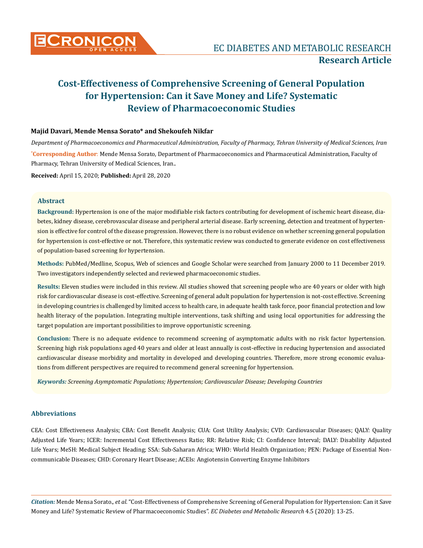

## **Majid Davari, Mende Mensa Sorato\* and Shekoufeh Nikfar**

**\* Corresponding Author**: Mende Mensa Sorato, Department of Pharmacoeconomics and Pharmaceutical Administration, Faculty of Pharmacy, Tehran University of Medical Sciences, Iran.. *Department of Pharmacoeconomics and Pharmaceutical Administration, Faculty of Pharmacy, Tehran University of Medical Sciences, Iran*

**Received:** April 15, 2020; **Published:** April 28, 2020

# **Abstract**

**Background:** Hypertension is one of the major modifiable risk factors contributing for development of ischemic heart disease, diabetes, kidney disease, cerebrovascular disease and peripheral arterial disease. Early screening, detection and treatment of hypertension is effective for control of the disease progression. However, there is no robust evidence on whether screening general population for hypertension is cost-effective or not. Therefore, this systematic review was conducted to generate evidence on cost effectiveness of population-based screening for hypertension.

**Methods:** PubMed/Medline, Scopus, Web of sciences and Google Scholar were searched from January 2000 to 11 December 2019. Two investigators independently selected and reviewed pharmacoeconomic studies.

**Results:** Eleven studies were included in this review. All studies showed that screening people who are 40 years or older with high risk for cardiovascular disease is cost-effective. Screening of general adult population for hypertension is not-cost effective. Screening in developing countries is challenged by limited access to health care, in adequate health task force, poor financial protection and low health literacy of the population. Integrating multiple interventions, task shifting and using local opportunities for addressing the target population are important possibilities to improve opportunistic screening.

**Conclusion:** There is no adequate evidence to recommend screening of asymptomatic adults with no risk factor hypertension. Screening high risk populations aged 40 years and older at least annually is cost-effective in reducing hypertension and associated cardiovascular disease morbidity and mortality in developed and developing countries. Therefore, more strong economic evaluations from different perspectives are required to recommend general screening for hypertension.

*Keywords: Screening Asymptomatic Populations; Hypertension; Cardiovascular Disease; Developing Countries*

## **Abbreviations**

CEA: Cost Effectiveness Analysis; CBA: Cost Benefit Analysis; CUA: Cost Utility Analysis; CVD: Cardiovascular Diseases; QALY: Quality Adjusted Life Years; ICER: Incremental Cost Effectiveness Ratio; RR: Relative Risk; CI: Confidence Interval; DALY: Disability Adjusted Life Years; MeSH: Medical Subject Heading; SSA: Sub-Saharan Africa; WHO: World Health Organization; PEN: Package of Essential Noncommunicable Diseases; CHD: Coronary Heart Disease; ACEIs: Angiotensin Converting Enzyme Inhibitors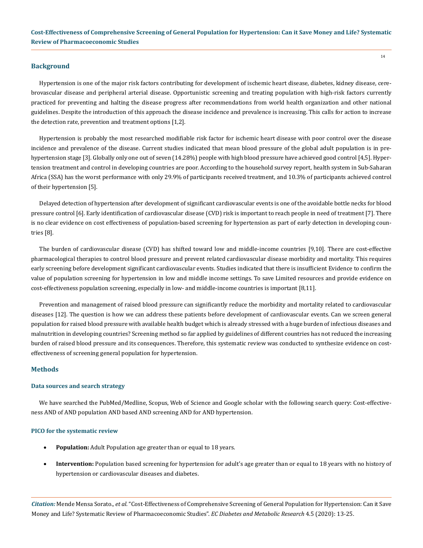#### **Background**

Hypertension is one of the major risk factors contributing for development of ischemic heart disease, diabetes, kidney disease, cerebrovascular disease and peripheral arterial disease. Opportunistic screening and treating population with high-risk factors currently practiced for preventing and halting the disease progress after recommendations from world health organization and other national guidelines. Despite the introduction of this approach the disease incidence and prevalence is increasing. This calls for action to increase the detection rate, prevention and treatment options [1,2].

Hypertension is probably the most researched modifiable risk factor for ischemic heart disease with poor control over the disease incidence and prevalence of the disease. Current studies indicated that mean blood pressure of the global adult population is in prehypertension stage [3]. Globally only one out of seven (14.28%) people with high blood pressure have achieved good control [4,5]. Hypertension treatment and control in developing countries are poor. According to the household survey report, health system in Sub-Saharan Africa (SSA) has the worst performance with only 29.9% of participants received treatment, and 10.3% of participants achieved control of their hypertension [5].

Delayed detection of hypertension after development of significant cardiovascular events is one of the avoidable bottle necks for blood pressure control [6]. Early identification of cardiovascular disease (CVD) risk is important to reach people in need of treatment [7]. There is no clear evidence on cost effectiveness of population-based screening for hypertension as part of early detection in developing countries [8].

The burden of cardiovascular disease (CVD) has shifted toward low and middle-income countries [9,10]. There are cost-effective pharmacological therapies to control blood pressure and prevent related cardiovascular disease morbidity and mortality. This requires early screening before development significant cardiovascular events. Studies indicated that there is insufficient Evidence to confirm the value of population screening for hypertension in low and middle income settings. To save Limited resources and provide evidence on cost-effectiveness population screening, especially in low- and middle-income countries is important [8,11].

Prevention and management of raised blood pressure can significantly reduce the morbidity and mortality related to cardiovascular diseases [12]. The question is how we can address these patients before development of cardiovascular events. Can we screen general population for raised blood pressure with available health budget which is already stressed with a huge burden of infectious diseases and malnutrition in developing countries? Screening method so far applied by guidelines of different countries has not reduced the increasing burden of raised blood pressure and its consequences. Therefore, this systematic review was conducted to synthesize evidence on costeffectiveness of screening general population for hypertension.

## **Methods**

#### **Data sources and search strategy**

We have searched the PubMed/Medline, Scopus, Web of Science and Google scholar with the following search query: Cost-effectiveness AND of AND population AND based AND screening AND for AND hypertension.

#### **PICO for the systematic review**

- **Population:** Adult Population age greater than or equal to 18 years.
- Intervention: Population based screening for hypertension for adult's age greater than or equal to 18 years with no history of hypertension or cardiovascular diseases and diabetes.

*Citation:* Mende Mensa Sorato.*, et al.* "Cost-Effectiveness of Comprehensive Screening of General Population for Hypertension: Can it Save Money and Life? Systematic Review of Pharmacoeconomic Studies". *EC Diabetes and Metabolic Research* 4.5 (2020): 13-25.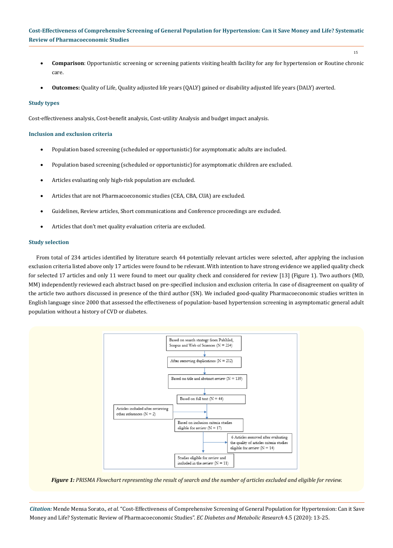- 15
- • **Comparison**: Opportunistic screening or screening patients visiting health facility for any for hypertension or Routine chronic care.
- **Outcomes:** Quality of Life, Quality adjusted life years (QALY) gained or disability adjusted life years (DALY) averted.

#### **Study types**

Cost-effectiveness analysis, Cost-benefit analysis, Cost-utility Analysis and budget impact analysis.

## **Inclusion and exclusion criteria**

- Population based screening (scheduled or opportunistic) for asymptomatic adults are included.
- Population based screening (scheduled or opportunistic) for asymptomatic children are excluded.
- Articles evaluating only high-risk population are excluded.
- Articles that are not Pharmacoeconomic studies (CEA, CBA, CUA) are excluded.
- Guidelines, Review articles, Short communications and Conference proceedings are excluded.
- Articles that don't met quality evaluation criteria are excluded.

#### **Study selection**

From total of 234 articles identified by literature search 44 potentially relevant articles were selected, after applying the inclusion exclusion criteria listed above only 17 articles were found to be relevant. With intention to have strong evidence we applied quality check for selected 17 articles and only 11 were found to meet our quality check and considered for review [13] (Figure 1). Two authors (MD, MM) independently reviewed each abstract based on pre-specified inclusion and exclusion criteria. In case of disagreement on quality of the article two authors discussed in presence of the third author (SN). We included good-quality Pharmacoeconomic studies written in English language since 2000 that assessed the effectiveness of population-based hypertension screening in asymptomatic general adult population without a history of CVD or diabetes.



*Figure 1: PRISMA Flowchart representing the result of search and the number of articles excluded and eligible for review.*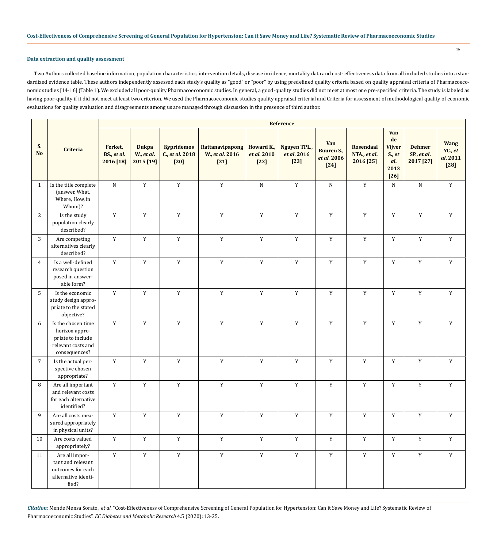## **Data extraction and quality assessment**

Two Authors collected baseline information, population characteristics, intervention details, disease incidence, mortality data and cost- effectiveness data from all included studies into a standardized evidence table. These authors independently assessed each study's quality as "good" or "poor" by using predefined quality criteria based on quality appraisal criteria of Pharmacoeconomic studies [14-16] (Table 1). We excluded all poor-quality Pharmacoeconomic studies. In general, a good-quality studies did not meet at most one pre-specified criteria. The study is labeled as having poor-quality if it did not meet at least two criterion. We used the Pharmacoeconomic studies quality appraisal criterial and Criteria for assessment of methodological quality of economic evaluations for quality evaluation and disagreements among us are managed through discussion in the presence of third author.

|                 | <b>Criteria</b>                                                                                  | Reference                           |                                         |                                                |                                              |                                     |                                              |                                                   |                                               |                                                               |                                           |                                              |
|-----------------|--------------------------------------------------------------------------------------------------|-------------------------------------|-----------------------------------------|------------------------------------------------|----------------------------------------------|-------------------------------------|----------------------------------------------|---------------------------------------------------|-----------------------------------------------|---------------------------------------------------------------|-------------------------------------------|----------------------------------------------|
| S.<br><b>No</b> |                                                                                                  | Ferket,<br>BS., et al.<br>2016 [18] | <b>Dukpa</b><br>W., et al.<br>2015 [19] | <b>Kypridemos</b><br>C., et al. 2018<br>$[20]$ | Rattanavipapong<br>W., et al. 2016<br>$[21]$ | Howard K.,<br>et al. 2010<br>$[22]$ | <b>Nguyen TPL.,</b><br>et al. 2016<br>$[23]$ | Van<br><b>Buuren S.,</b><br>et al. 2006<br>$[24]$ | <b>Rosendaal</b><br>NTA., et al.<br>2016 [25] | Van<br>de<br><b>Vijver</b><br>S., et<br>al.<br>2013<br>$[26]$ | <b>Dehmer</b><br>SP., et al.<br>2017 [27] | <b>Wang</b><br>YC., et<br>al. 2011<br>$[28]$ |
| $\mathbf{1}$    | Is the title complete<br>(answer, What,<br>Where, How, in<br>Whom)?                              | ${\bf N}$                           | $\mathbf Y$                             | $\mathbf Y$                                    | $\mathbf Y$                                  | ${\bf N}$                           | $\mathbf Y$                                  | ${\bf N}$                                         | $\mathbf Y$                                   | ${\bf N}$                                                     | ${\bf N}$                                 | $\mathbf Y$                                  |
| 2               | Is the study<br>population clearly<br>described?                                                 | $\mathbf Y$                         | $\mathbf Y$                             | $\mathbf Y$                                    | $\mathbf Y$                                  | $\mathbf Y$                         | $\mathbf Y$                                  | $\mathbf Y$                                       | $\mathbf Y$                                   | $\mathbf Y$                                                   | $\mathbf Y$                               | $\mathbf Y$                                  |
| 3               | Are competing<br>alternatives clearly<br>described?                                              | $\mathbf Y$                         | $\mathbf Y$                             | $\mathbf Y$                                    | $\mathbf Y$                                  | $\mathbf Y$                         | $\mathbf Y$                                  | $\mathbf Y$                                       | $\mathbf Y$                                   | $\mathbf Y$                                                   | $\mathbf Y$                               | $\mathbf Y$                                  |
| $\overline{4}$  | Is a well-defined<br>research question<br>posed in answer-<br>able form?                         | $\mathbf Y$                         | $\mathbf Y$                             | $\mathbf Y$                                    | $\mathbf Y$                                  | $\mathbf Y$                         | $\mathbf Y$                                  | $\mathbf Y$                                       | $\mathbf Y$                                   | $\mathbf Y$                                                   | $\mathbf Y$                               | $\mathbf Y$                                  |
| 5               | Is the economic<br>study design appro-<br>priate to the stated<br>objective?                     | $\mathbf Y$                         | $\mathbf Y$                             | $\mathbf Y$                                    | $\mathbf Y$                                  | $\mathbf Y$                         | $\mathbf Y$                                  | $\mathbf Y$                                       | $\mathbf Y$                                   | $\mathbf Y$                                                   | $\mathbf Y$                               | $\mathbf Y$                                  |
| 6               | Is the chosen time<br>horizon appro-<br>priate to include<br>relevant costs and<br>consequences? | $\mathbf Y$                         | $\mathbf Y$                             | $\mathbf Y$                                    | $\mathbf Y$                                  | $\mathbf Y$                         | $\mathbf Y$                                  | $\mathbf Y$                                       | $\mathbf Y$                                   | $\mathbf Y$                                                   | $\mathbf Y$                               | $\mathbf Y$                                  |
| $\overline{7}$  | Is the actual per-<br>spective chosen<br>appropriate?                                            | $\mathbf Y$                         | $\mathbf Y$                             | $\mathbf Y$                                    | $\mathbf Y$                                  | $\mathbf Y$                         | $\mathbf Y$                                  | $\mathbf Y$                                       | $\mathbf Y$                                   | $\mathbf Y$                                                   | $\mathbf Y$                               | $\mathbf Y$                                  |
| 8               | Are all important<br>and relevant costs<br>for each alternative<br>identified?                   | Y                                   | $\mathbf Y$                             | $\mathbf Y$                                    | $\mathbf Y$                                  | $\mathbf Y$                         | $\mathbf Y$                                  | $\mathbf Y$                                       | $\mathbf Y$                                   | $\mathbf Y$                                                   | $\mathbf Y$                               | $\mathbf Y$                                  |
| 9               | Are all costs mea-<br>sured appropriately<br>in physical units?                                  | $\mathbf Y$                         | $\mathbf Y$                             | $\mathbf Y$                                    | $\mathbf Y$                                  | $\mathbf Y$                         | $\mathbf Y$                                  | $\mathbf Y$                                       | $\mathbf Y$                                   | $\mathbf Y$                                                   | $\mathbf Y$                               | $\mathbf Y$                                  |
| 10              | Are costs valued<br>appropriately?                                                               | $\mathbf Y$                         | $\mathbf Y$                             | $\mathbf Y$                                    | $\mathbf Y$                                  | $\mathbf Y$                         | $\mathbf Y$                                  | $\mathbf Y$                                       | $\mathbf Y$                                   | $\mathbf Y$                                                   | $\mathbf Y$                               | $\mathbf Y$                                  |
| 11              | Are all impor-<br>tant and relevant<br>outcomes for each<br>alternative identi-<br>fied?         | $\mathbf Y$                         | $\mathbf Y$                             | $\mathbf Y$                                    | $\mathbf Y$                                  | $\mathbf Y$                         | $\mathbf Y$                                  | $\mathbf Y$                                       | $\mathbf Y$                                   | $\mathbf Y$                                                   | $\mathbf Y$                               | $\mathbf Y$                                  |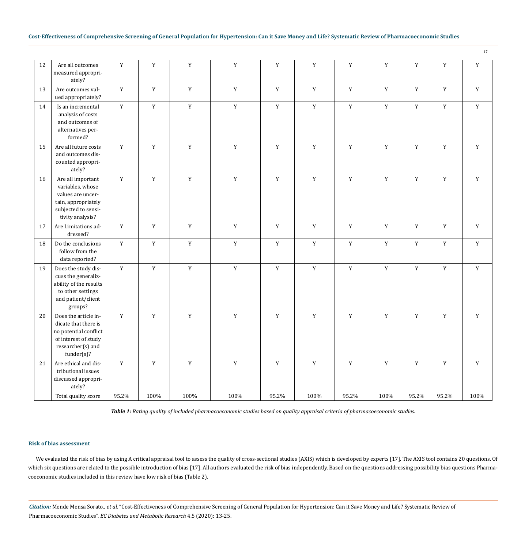17

| 12 | Are all outcomes<br>measured appropri-<br>ately?                                                                                    | $\mathbf Y$ | $\mathbf Y$ | $\mathbf Y$ | $\mathbf Y$ | $\mathbf Y$ | $\mathbf Y$ | $\mathbf Y$ | $\mathbf Y$ | $\mathbf Y$ | $\mathbf Y$ | $\mathbf Y$ |
|----|-------------------------------------------------------------------------------------------------------------------------------------|-------------|-------------|-------------|-------------|-------------|-------------|-------------|-------------|-------------|-------------|-------------|
| 13 | Are outcomes val-<br>ued appropriately?                                                                                             | $\mathbf Y$ | $\mathbf Y$ | $\mathbf Y$ | $\mathbf Y$ | $\mathbf Y$ | $\mathbf Y$ | $\mathbf Y$ | $\mathbf Y$ | $\mathbf Y$ | $\mathbf Y$ | $\mathbf Y$ |
| 14 | Is an incremental<br>analysis of costs<br>and outcomes of<br>alternatives per-<br>formed?                                           | $\mathbf Y$ | $\mathbf Y$ | $\mathbf Y$ | $\mathbf Y$ | $\mathbf Y$ | $\mathbf Y$ | $\mathbf Y$ | $\mathbf Y$ | $\mathbf Y$ | $\mathbf Y$ | $\mathbf Y$ |
| 15 | Are all future costs<br>and outcomes dis-<br>counted appropri-<br>ately?                                                            | $\mathbf Y$ | $\mathbf Y$ | $\mathbf Y$ | $\mathbf Y$ | $\mathbf Y$ | $\mathbf Y$ | $\mathbf Y$ | $\mathbf Y$ | $\mathbf Y$ | $\mathbf Y$ | $\mathbf Y$ |
| 16 | Are all important<br>variables, whose<br>values are uncer-<br>tain, appropriately<br>subjected to sensi-<br>tivity analysis?        | $\mathbf Y$ | $\mathbf Y$ | $\mathbf Y$ | $\mathbf Y$ | $\mathbf Y$ | $\mathbf Y$ | $\mathbf Y$ | $\mathbf Y$ | $\mathbf Y$ | $\mathbf Y$ | $\mathbf Y$ |
| 17 | Are Limitations ad-<br>dressed?                                                                                                     | $\mathbf Y$ | $\mathbf Y$ | $\mathbf Y$ | $\mathbf Y$ | $\mathbf Y$ | $\mathbf Y$ | $\mathbf Y$ | $\mathbf Y$ | $\mathbf Y$ | $\mathbf Y$ | $\mathbf Y$ |
| 18 | Do the conclusions<br>follow from the<br>data reported?                                                                             | $\mathbf Y$ | $\mathbf Y$ | $\mathbf Y$ | $\mathbf Y$ | $\mathbf Y$ | $\mathbf Y$ | $\mathbf Y$ | $\mathbf Y$ | $\mathbf Y$ | $\mathbf Y$ | $\mathbf Y$ |
| 19 | Does the study dis-<br>cuss the generaliz-<br>ability of the results<br>to other settings<br>and patient/client<br>groups?          | $\mathbf Y$ | $\mathbf Y$ | $\mathbf Y$ | $\mathbf Y$ | $\mathbf Y$ | $\mathbf Y$ | $\mathbf Y$ | $\mathbf Y$ | $\mathbf Y$ | $\mathbf Y$ | $\mathbf Y$ |
| 20 | Does the article in-<br>dicate that there is<br>no potential conflict<br>of interest of study<br>researcher(s) and<br>$funder(s)$ ? | $\mathbf Y$ | $\mathbf Y$ | $\mathbf Y$ | $\mathbf Y$ | $\mathbf Y$ | $\mathbf Y$ | $\mathbf Y$ | $\mathbf Y$ | $\mathbf Y$ | $\mathbf Y$ | $\mathbf Y$ |
| 21 | Are ethical and dis-<br>tributional issues<br>discussed appropri-<br>ately?                                                         | $\mathbf Y$ | $\mathbf Y$ | $\mathbf Y$ | $\mathbf Y$ | $\mathbf Y$ | $\mathbf Y$ | $\mathbf Y$ | $\mathbf Y$ | $\mathbf Y$ | $\mathbf Y$ | $\mathbf Y$ |
|    | Total quality score                                                                                                                 | 95.2%       | 100%        | 100%        | 100%        | 95.2%       | 100%        | 95.2%       | 100%        | 95.2%       | 95.2%       | 100%        |

*Table 1: Rating quality of included pharmacoeconomic studies based on quality appraisal criteria of pharmacoeconomic studies.*

#### **Risk of bias assessment**

We evaluated the risk of bias by using A critical appraisal tool to assess the quality of cross-sectional studies (AXIS) which is developed by experts [17]. The AXIS tool contains 20 questions. Of which six questions are related to the possible introduction of bias [17]. All authors evaluated the risk of bias independently. Based on the questions addressing possibility bias questions Pharmacoeconomic studies included in this review have low risk of bias (Table 2).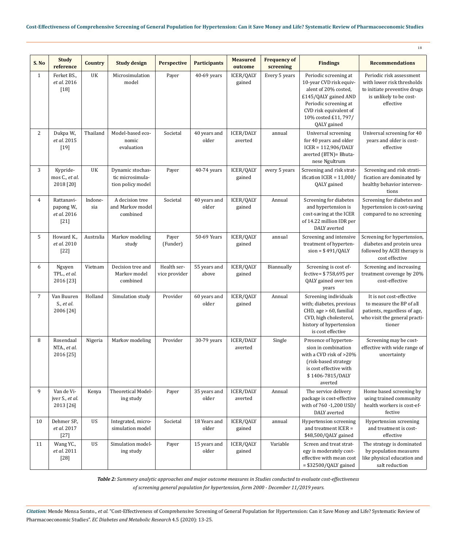|                |                                                   |                |                                                           |                              |                       |                             |                                  |                                                                                                                                                                                            | 18                                                                                                                              |
|----------------|---------------------------------------------------|----------------|-----------------------------------------------------------|------------------------------|-----------------------|-----------------------------|----------------------------------|--------------------------------------------------------------------------------------------------------------------------------------------------------------------------------------------|---------------------------------------------------------------------------------------------------------------------------------|
| S.No           | <b>Study</b><br>reference                         | <b>Country</b> | <b>Study design</b>                                       | <b>Perspective</b>           | <b>Participants</b>   | <b>Measured</b><br>outcome  | <b>Frequency of</b><br>screening | <b>Findings</b>                                                                                                                                                                            | <b>Recommendations</b>                                                                                                          |
| $\mathbf{1}$   | Ferket BS.,<br>et al. 2016<br>$[18]$              | UK             | Microsimulation<br>model                                  | Payer                        | 40-69 years           | ICER/QALY<br>gained         | Every 5 years                    | Periodic screening at<br>10-year CVD risk equiv-<br>alent of 20% costed,<br>£145/QALY gained AND<br>Periodic screening at<br>CVD risk equivalent of<br>10% costed £11, 797/<br>QALY gained | Periodic risk assessment<br>with lower risk thresholds<br>to initiate preventive drugs<br>is unlikely to be cost-<br>effective  |
| $\mathbf{2}$   | Dukpa W.,<br>et al. 2015<br>$[19]$                | Thailand       | Model-based eco-<br>nomic<br>evaluation                   | Societal                     | 40 years and<br>older | <b>ICER/DALY</b><br>averted | annual                           | Universal screening<br>for 40 years and older<br>$ICER = 112,906/DALY$<br>averted (BTN)= Bhuta-<br>nese Ngultrum                                                                           | Universal screening for 40<br>years and older is cost-<br>effective                                                             |
| 3              | Kypride-<br>mos C., et al.<br>2018 [20]           | UK             | Dynamic stochas-<br>tic microsimula-<br>tion policy model | Payer                        | 40-74 years           | ICER/QALY<br>gained         | every 5 years                    | Screening and risk strat-<br>ification ICER = $11,000/$<br>QALY gained                                                                                                                     | Screening and risk strati-<br>fication are dominated by<br>healthy behavior interven-<br>tions                                  |
| $\overline{4}$ | Rattanavi-<br>papong W.,<br>et al. 2016<br>$[21]$ | Indone-<br>sia | A decision tree<br>and Markov model<br>combined           | Societal                     | 40 years and<br>older | ICER/QALY<br>gained         | Annual                           | Screening for diabetes<br>and hypertension is<br>cost-saving at the ICER<br>of 14.22 million IDR per<br>DALY averted                                                                       | Screening for diabetes and<br>hypertension is cost-saving<br>compared to no screening                                           |
| 5              | Howard K.,<br>et al. 2010<br>$[22]$               | Australia      | Markov modeling<br>study                                  | Payer<br>(Funder)            | 50-69 Years           | ICER/QALY<br>gained         | annual                           | Screening and intensive<br>treatment of hyperten-<br>$sion = $491/QALY$                                                                                                                    | Screening for hypertension,<br>diabetes and protein urea<br>followed by ACEI therapy is<br>cost effective                       |
| 6              | Nguyen<br>TPL., et al.<br>2016 [23]               | Vietnam        | Decision tree and<br>Markov model<br>combined             | Health ser-<br>vice provider | 55 years and<br>above | ICER/QALY<br>gained         | Biannually                       | Screening is cost ef-<br>fective= \$758,695 per<br>QALY gained over ten<br>years                                                                                                           | Screening and increasing<br>treatment coverage by 20%<br>cost-effective                                                         |
| $\overline{7}$ | Van Buuren<br>S., et al.<br>2006 [24]             | Holland        | Simulation study                                          | Provider                     | 60 years and<br>older | ICER/QALY<br>gained         | Annual                           | Screening individuals<br>with; diabetes, previous<br>CHD, age > 60, familial<br>CVD, high cholesterol,<br>history of hypertension<br>is cost effective                                     | It is not cost-effective<br>to measure the BP of all<br>patients, regardless of age,<br>who visit the general practi-<br>tioner |
| 8              | Rosendaal<br>NTA., et al.<br>2016 [25]            | Nigeria        | Markov modeling                                           | Provider                     | 30-79 years           | ICER/DALY<br>averted        | Single                           | Presence of hyperten-<br>sion in combination<br>with a CVD risk of >20%<br>(risk-based strategy<br>is cost effective with<br>\$1406-7815/DALY<br>averted                                   | Screening may be cost-<br>effective with wide range of<br>uncertainty                                                           |
| 9              | Van de Vi-<br>jver S., et al.<br>2013 [26]        | Kenya          | Theoretical Model-<br>ing study                           | Payer                        | 35 years and<br>older | <b>ICER/DALY</b><br>averted | Annual                           | The service delivery<br>package is cost-effective<br>with of 760 -1,200 USD/<br>DALY averted                                                                                               | Home based screening by<br>using trained community<br>health workers is cost-ef-<br>fective                                     |
| 10             | Dehmer SP.,<br>et al. 2017<br>$[27]$              | US             | Integrated, micro-<br>simulation model                    | Societal                     | 18 Years and<br>older | ICER/QALY<br>gained         | annual                           | Hypertension screening<br>and treatment ICER =<br>\$48,500/QALY gained                                                                                                                     | Hypertension screening<br>and treatment is cost-<br>effective                                                                   |
| 11             | Wang YC.,<br>et al. 2011<br>$[28]$                | US             | Simulation model-<br>ing study                            | Payer                        | 15 years and<br>older | ICER/QALY<br>gained         | Variable                         | Screen and treat strat-<br>egy is moderately cost-<br>effective with mean cost<br>$= $32500/QALY$ gained                                                                                   | The strategy is dominated<br>by population measures<br>like physical education and<br>salt reduction                            |

*Table 2: Summery analytic approaches and major outcome measures in Studies conducted to evaluate cost-effectiveness of screening general population for hypertension, form 2000 - December 11/2019 years.*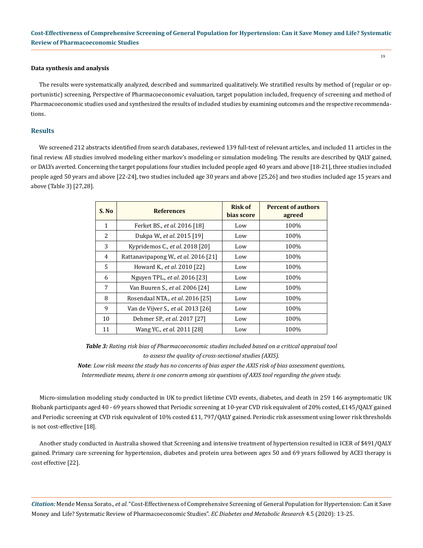#### **Data synthesis and analysis**

The results were systematically analyzed, described and summarized qualitatively. We stratified results by method of (regular or opportunistic) screening, Perspective of Pharmacoeconomic evaluation, target population included, frequency of screening and method of Pharmacoeconomic studies used and synthesized the results of included studies by examining outcomes and the respective recommendations.

#### **Results**

We screened 212 abstracts identified from search databases, reviewed 139 full-text of relevant articles, and included 11 articles in the final review. All studies involved modeling either markov's modeling or simulation modeling. The results are described by QALY gained, or DALYs averted. Concerning the target populations four studies included people aged 40 years and above [18-21], three studies included people aged 50 years and above [22-24], two studies included age 30 years and above [25,26] and two studies included age 15 years and above (Table 3) [27,28].

| S. No        | <b>References</b>                    | <b>Risk of</b><br>bias score | <b>Percent of authors</b><br>agreed |
|--------------|--------------------------------------|------------------------------|-------------------------------------|
| $\mathbf{1}$ | Ferket BS., et al. 2016 [18]         | Low                          | 100%                                |
| 2            | Dukpa W., et al. 2015 [19]           | Low                          | 100%                                |
| 3            | Kypridemos C., et al. 2018 [20]      | Low                          | 100%                                |
| 4            | Rattanavipapong W., et al. 2016 [21] | Low                          | 100%                                |
| .5           | Howard K., et al. 2010 [22]          | Low                          | 100%                                |
| 6            | Nguyen TPL., et al. 2016 [23]        | Low                          | 100%                                |
| 7            | Van Buuren S., et al. 2006 [24]      | Low                          | 100%                                |
| 8            | Rosendaal NTA., et al. 2016 [25]     | Low                          | 100%                                |
| 9            | Van de Vijver S., et al. 2013 [26]   | Low                          | 100%                                |
| 10           | Dehmer SP., et al. 2017 [27]         | Low                          | 100%                                |
| 11           | Wang YC., et al. 2011 [28]           | Low                          | 100%                                |

*Table 3: Rating risk bias of Pharmacoeconomic studies included based on a critical appraisal tool to assess the quality of cross-sectional studies (AXIS).*

*Note: Low risk means the study has no concerns of bias asper the AXIS risk of bias assessment questions, Intermediate means, there is one concern among six questions of AXIS tool regarding the given study.*

Micro-simulation modeling study conducted in UK to predict lifetime CVD events, diabetes, and death in 259 146 asymptomatic UK Biobank participants aged 40 - 69 years showed that Periodic screening at 10-year CVD risk equivalent of 20% costed, £145/QALY gained and Periodic screening at CVD risk equivalent of 10% costed £11, 797/QALY gained. Periodic risk assessment using lower risk thresholds is not cost-effective [18].

Another study conducted in Australia showed that Screening and intensive treatment of hypertension resulted in ICER of \$491/QALY gained. Primary care screening for hypertension, diabetes and protein urea between ages 50 and 69 years followed by ACEI therapy is cost effective [22].

*Citation:* Mende Mensa Sorato.*, et al.* "Cost-Effectiveness of Comprehensive Screening of General Population for Hypertension: Can it Save Money and Life? Systematic Review of Pharmacoeconomic Studies". *EC Diabetes and Metabolic Research* 4.5 (2020): 13-25.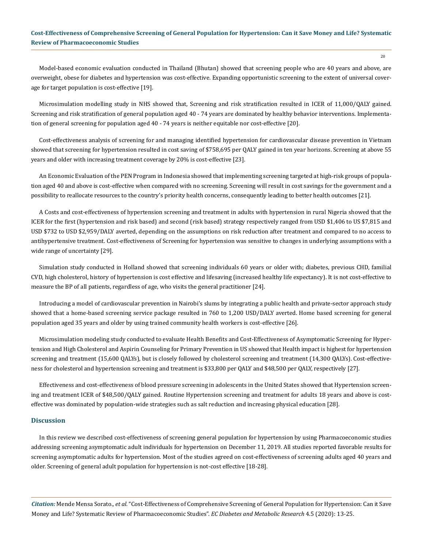Model-based economic evaluation conducted in Thailand (Bhutan) showed that screening people who are 40 years and above, are overweight, obese for diabetes and hypertension was cost-effective. Expanding opportunistic screening to the extent of universal coverage for target population is cost-effective [19].

Microsimulation modelling study in NHS showed that, Screening and risk stratification resulted in ICER of 11,000/QALY gained. Screening and risk stratification of general population aged 40 - 74 years are dominated by healthy behavior interventions. Implementation of general screening for population aged 40 - 74 years is neither equitable nor cost-effective [20].

Cost-effectiveness analysis of screening for and managing identified hypertension for cardiovascular disease prevention in Vietnam showed that screening for hypertension resulted in cost saving of \$758,695 per QALY gained in ten year horizons. Screening at above 55 years and older with increasing treatment coverage by 20% is cost-effective [23].

An Economic Evaluation of the PEN Program in Indonesia showed that implementing screening targeted at high-risk groups of population aged 40 and above is cost-effective when compared with no screening. Screening will result in cost savings for the government and a possibility to reallocate resources to the country's priority health concerns, consequently leading to better health outcomes [21].

A Costs and cost-effectiveness of hypertension screening and treatment in adults with hypertension in rural Nigeria showed that the ICER for the first (hypertension and risk based) and second (risk based) strategy respectively ranged from USD \$1,406 to US \$7,815 and USD \$732 to USD \$2,959/DALY averted, depending on the assumptions on risk reduction after treatment and compared to no access to antihypertensive treatment. Cost-effectiveness of Screening for hypertension was sensitive to changes in underlying assumptions with a wide range of uncertainty [29].

Simulation study conducted in Holland showed that screening individuals 60 years or older with; diabetes, previous CHD, familial CVD, high cholesterol, history of hypertension is cost effective and lifesaving (increased healthy life expectancy). It is not cost-effective to measure the BP of all patients, regardless of age, who visits the general practitioner [24].

Introducing a model of cardiovascular prevention in Nairobi's slums by integrating a public health and private-sector approach study showed that a home-based screening service package resulted in 760 to 1,200 USD/DALY averted. Home based screening for general population aged 35 years and older by using trained community health workers is cost-effective [26].

Microsimulation modeling study conducted to evaluate Health Benefits and Cost-Effectiveness of Asymptomatic Screening for Hypertension and High Cholesterol and Aspirin Counseling for Primary Prevention in US showed that Health impact is highest for hypertension screening and treatment (15,600 QALYs), but is closely followed by cholesterol screening and treatment (14,300 QALYs). Cost-effectiveness for cholesterol and hypertension screening and treatment is \$33,800 per QALY and \$48,500 per QALY, respectively [27].

Effectiveness and cost-effectiveness of blood pressure screening in adolescents in the United States showed that Hypertension screening and treatment ICER of \$48,500/QALY gained. Routine Hypertension screening and treatment for adults 18 years and above is costeffective was dominated by population-wide strategies such as salt reduction and increasing physical education [28].

#### **Discussion**

In this review we described cost-effectiveness of screening general population for hypertension by using Pharmacoeconomic studies addressing screening asymptomatic adult individuals for hypertension on December 11, 2019. All studies reported favorable results for screening asymptomatic adults for hypertension. Most of the studies agreed on cost-effectiveness of screening adults aged 40 years and older. Screening of general adult population for hypertension is not-cost effective [18-28].

*Citation:* Mende Mensa Sorato.*, et al.* "Cost-Effectiveness of Comprehensive Screening of General Population for Hypertension: Can it Save Money and Life? Systematic Review of Pharmacoeconomic Studies". *EC Diabetes and Metabolic Research* 4.5 (2020): 13-25.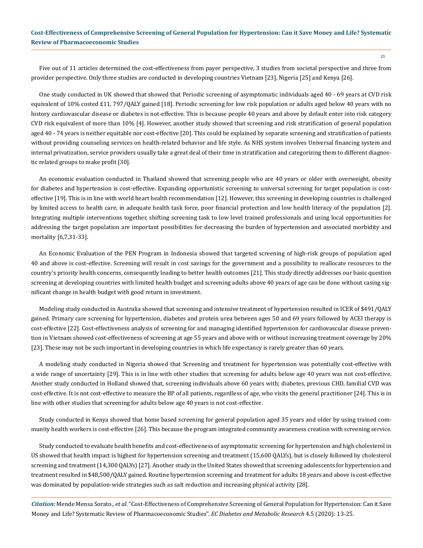Five out of 11 articles determined the cost-effectiveness from payer perspective, 3 studies from societal perspective and three from provider perspective. Only three studies are conducted in developing countries Vietnam [23], Nigeria [25] and Kenya [26].

One study conducted in UK showed that showed that Periodic screening of asymptomatic individuals aged 40 - 69 years at CVD risk equivalent of 10% costed £11, 797/QALY gained [18]. Periodic screening for low risk population or adults aged below 40 years with no history cardiovascular disease or diabetes is not-effective. This is because people 40 years and above by default enter into risk category CVD risk equivalent of more than 10% [4]. However, another study showed that screening and risk stratification of general population aged 40 - 74 years is neither equitable nor cost-effective [20]. This could be explained by separate screening and stratification of patients without providing counseling services on health-related behavior and life style. As NHS system involves Universal financing system and internal privatization, service providers usually take a great deal of their time in stratification and categorizing them to different diagnostic related groups to make profit [30].

An economic evaluation conducted in Thailand showed that screening people who are 40 years or older with overweight, obesity for diabetes and hypertension is cost-effective. Expanding opportunistic screening to universal screening for target population is costeffective [19]. This is in line with world heart health recommendation [12]. However, this screening in developing countries is challenged by limited access to health care, in adequate health task force, poor financial protection and low health literacy of the population [2]. Integrating multiple interventions together, shifting screening task to low level trained professionals and using local opportunities for addressing the target population are important possibilities for decreasing the burden of hypertension and associated morbidity and mortality [6,7,31-33].

An Economic Evaluation of the PEN Program in Indonesia showed that targeted screening of high-risk groups of population aged 40 and above is cost-effective. Screening will result in cost savings for the government and a possibility to reallocate resources to the country's priority health concerns, consequently leading to better health outcomes [21]. This study directly addresses our basic question screening at developing countries with limited health budget and screening adults above 40 years of age can be done without casing significant change in health budget with good return in investment.

Modeling study conducted in Australia showed that screening and intensive treatment of hypertension resulted in ICER of \$491/QALY gained. Primary care screening for hypertension, diabetes and protein urea between ages 50 and 69 years followed by ACEI therapy is cost-effective [22]. Cost-effectiveness analysis of screening for and managing identified hypertension for cardiovascular disease prevention in Vietnam showed cost-effectiveness of screening at age 55 years and above with or without increasing treatment coverage by 20% [23]. These may not be such important in developing countries in which life expectancy is rarely greater than 60 years.

A modeling study conducted in Nigeria showed that Screening and treatment for hypertension was potentially cost-effective with a wide range of uncertainty [29]. This is in line with other studies that screening for adults below age 40 years was not cost-effective. Another study conducted in Holland showed that, screening individuals above 60 years with; diabetes, previous CHD, familial CVD was cost-effective. It is not cost-effective to measure the BP of all patients, regardless of age, who visits the general practitioner [24]. This is in line with other studies that screening for adults below age 40 years is not cost-effective.

Study conducted in Kenya showed that home based screening for general population aged 35 years and older by using trained community health workers is cost-effective [26]. This because the program integrated community awareness creation with screening service.

Study conducted to evaluate health benefits and cost-effectiveness of asymptomatic screening for hypertension and high cholesterol in US showed that health impact is highest for hypertension screening and treatment (15,600 QALYs), but is closely followed by cholesterol screening and treatment (14,300 QALYs) [27]. Another study in the United States showed that screening adolescents for hypertension and treatment resulted in \$48,500/QALY gained. Routine hypertension screening and treatment for adults 18 years and above is cost-effective was dominated by population-wide strategies such as salt reduction and increasing physical activity [28].

*Citation:* Mende Mensa Sorato.*, et al.* "Cost-Effectiveness of Comprehensive Screening of General Population for Hypertension: Can it Save Money and Life? Systematic Review of Pharmacoeconomic Studies". *EC Diabetes and Metabolic Research* 4.5 (2020): 13-25.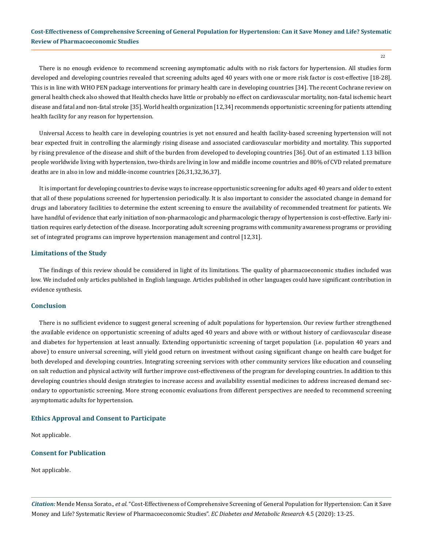22

There is no enough evidence to recommend screening asymptomatic adults with no risk factors for hypertension. All studies form developed and developing countries revealed that screening adults aged 40 years with one or more risk factor is cost-effective [18-28]. This is in line with WHO PEN package interventions for primary health care in developing countries [34]. The recent Cochrane review on general health check also showed that Health checks have little or probably no effect on cardiovascular mortality, non‐fatal ischemic heart disease and fatal and non‐fatal stroke [35]. World health organization [12,34] recommends opportunistic screening for patients attending health facility for any reason for hypertension.

Universal Access to health care in developing countries is yet not ensured and health facility-based screening hypertension will not bear expected fruit in controlling the alarmingly rising disease and associated cardiovascular morbidity and mortality. This supported by rising prevalence of the disease and shift of the burden from developed to developing countries [36]. Out of an estimated 1.13 billion people worldwide living with hypertension, two-thirds are living in low and middle income countries and 80% of CVD related premature deaths are in also in low and middle-income countries [26,31,32,36,37].

It is important for developing countries to devise ways to increase opportunistic screening for adults aged 40 years and older to extent that all of these populations screened for hypertension periodically. It is also important to consider the associated change in demand for drugs and laboratory facilities to determine the extent screening to ensure the availability of recommended treatment for patients. We have handful of evidence that early initiation of non-pharmacologic and pharmacologic therapy of hypertension is cost-effective. Early initiation requires early detection of the disease. Incorporating adult screening programs with community awareness programs or providing set of integrated programs can improve hypertension management and control [12,31].

## **Limitations of the Study**

The findings of this review should be considered in light of its limitations. The quality of pharmacoeconomic studies included was low. We included only articles published in English language. Articles published in other languages could have significant contribution in evidence synthesis.

## **Conclusion**

There is no sufficient evidence to suggest general screening of adult populations for hypertension. Our review further strengthened the available evidence on opportunistic screening of adults aged 40 years and above with or without history of cardiovascular disease and diabetes for hypertension at least annually. Extending opportunistic screening of target population (i.e. population 40 years and above) to ensure universal screening, will yield good return on investment without casing significant change on health care budget for both developed and developing countries. Integrating screening services with other community services like education and counseling on salt reduction and physical activity will further improve cost-effectiveness of the program for developing countries. In addition to this developing countries should design strategies to increase access and availability essential medicines to address increased demand secondary to opportunistic screening. More strong economic evaluations from different perspectives are needed to recommend screening asymptomatic adults for hypertension.

# **Ethics Approval and Consent to Participate**

Not applicable.

# **Consent for Publication**

Not applicable.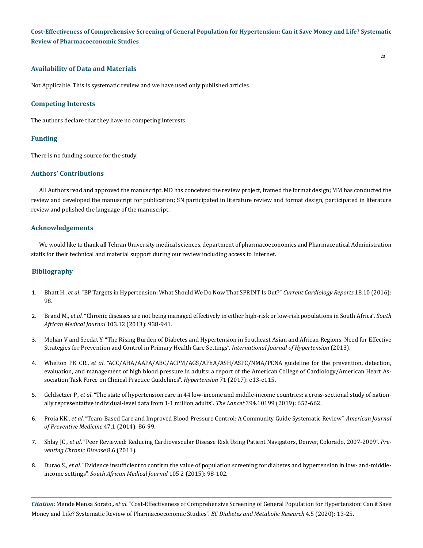## **Availability of Data and Materials**

Not Applicable. This is systematic review and we have used only published articles.

#### **Competing Interests**

The authors declare that they have no competing interests.

#### **Funding**

There is no funding source for the study.

#### **Authors' Contributions**

All Authors read and approved the manuscript. MD has conceived the review project, framed the format design; MM has conducted the review and developed the manuscript for publication; SN participated in literature review and format design, participated in literature review and polished the language of the manuscript.

#### **Acknowledgements**

We would like to thank all Tehran University medical sciences, department of pharmacoeconomics and Pharmaceutical Administration staffs for their technical and material support during our review including access to Internet.

#### **Bibliography**

- 1. Bhatt H., *et al*[. "BP Targets in Hypertension: What Should We Do Now That SPRINT Is Out?"](https://www.ncbi.nlm.nih.gov/pubmed/27566331) *Current Cardiology Reports* 18.10 (2016): [98.](https://www.ncbi.nlm.nih.gov/pubmed/27566331)
- 2. Brand M., *et al*[. "Chronic diseases are not being managed effectively in either high-risk or low-risk populations in South Africa".](https://www.ncbi.nlm.nih.gov/pubmed/24300634) *South [African Medical Journal](https://www.ncbi.nlm.nih.gov/pubmed/24300634)* 103.12 (2013): 938-941.
- 3. [Mohan V and Seedat Y. "The Rising Burden of Diabetes and Hypertension in Southeast Asian and African Regions: Need for Effective](https://www.hindawi.com/journals/ijhy/2013/409083/)  [Strategies for Prevention and Control in Primary Health Care Settings".](https://www.hindawi.com/journals/ijhy/2013/409083/) *International Journal of Hypertension* (2013).
- 4. Whelton PK CR., *et al*[. "ACC/AHA/AAPA/ABC/ACPM/AGS/APhA/ASH/ASPC/NMA/PCNA guideline for the prevention, detection,](https://www.ncbi.nlm.nih.gov/pubmed/29133354)  [evaluation, and management of high blood pressure in adults: a report of the American College of Cardiology/American Heart As](https://www.ncbi.nlm.nih.gov/pubmed/29133354)[sociation Task Force on Clinical Practice Guidelines".](https://www.ncbi.nlm.nih.gov/pubmed/29133354) *Hypertension* 71 (2017): e13-e115.
- 5. Geldsetzer P., *et al*[. "The state of hypertension care in 44 low-income and middle-income countries: a cross-sectional study of nation](https://www.ncbi.nlm.nih.gov/pubmed/31327566)[ally representative individual-level data from 1·1 million adults".](https://www.ncbi.nlm.nih.gov/pubmed/31327566) *The Lancet* 394.10199 (2019): 652-662.
- 6. Proia KK., *et al*[. "Team-Based Care and Improved Blood Pressure Control: A Community Guide Systematic Review".](https://www.ncbi.nlm.nih.gov/pubmed/24933494) *American Journal [of Preventive Medicine](https://www.ncbi.nlm.nih.gov/pubmed/24933494)* 47.1 (2014): 86-99.
- 7. Shlay JC., *et al*[. "Peer Reviewed: Reducing Cardiovascular Disease Risk Using Patient Navigators, Denver, Colorado, 2007-2009".](https://www.ncbi.nlm.nih.gov/pmc/articles/PMC3221582/) *Pre[venting Chronic Disease](https://www.ncbi.nlm.nih.gov/pmc/articles/PMC3221582/)* 8.6 (2011).
- 8. Durao S., *et al*[. "Evidence insufficient to confirm the value of population screening for diabetes and hypertension in low- and-middle](https://www.ncbi.nlm.nih.gov/pubmed/26242524)income settings". *[South African Medical Journal](https://www.ncbi.nlm.nih.gov/pubmed/26242524)* 105.2 (2015): 98-102.

*Citation:* Mende Mensa Sorato.*, et al.* "Cost-Effectiveness of Comprehensive Screening of General Population for Hypertension: Can it Save Money and Life? Systematic Review of Pharmacoeconomic Studies". *EC Diabetes and Metabolic Research* 4.5 (2020): 13-25.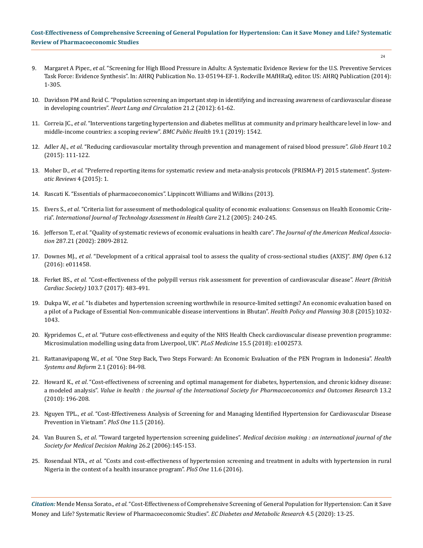24

- 9. Margaret A Piper., *et al*. "Screening for High Blood Pressure in Adults: A Systematic Evidence Review for the U.S. Preventive Services Task Force: Evidence Synthesis". In: AHRQ Publication No. 13-05194-EF-1. Rockville MAfHRaQ, editor. US: AHRQ Publication (2014): 1-305.
- 10. [Davidson PM and Reid C. "Population screening an important step in identifying and increasing awareness of cardiovascular disease](https://www.ncbi.nlm.nih.gov/pubmed/22289184)  in developing countries". *[Heart Lung and Circulation](https://www.ncbi.nlm.nih.gov/pubmed/22289184)* 21.2 (2012): 61-62.
- 11. Correia JC., *et al*[. "Interventions targeting hypertension and diabetes mellitus at community and primary healthcare level in low- and](https://bmcpublichealth.biomedcentral.com/articles/10.1186/s12889-019-7842-6)  [middle-income countries: a scoping review".](https://bmcpublichealth.biomedcentral.com/articles/10.1186/s12889-019-7842-6) *BMC Public Health* 19.1 (2019): 1542.
- 12. Adler AJ., *et al*[. "Reducing cardiovascular mortality through prevention and management of raised blood pressure".](https://www.ncbi.nlm.nih.gov/pubmed/26213298) *Glob Heart* 10.2 [\(2015\): 111-122.](https://www.ncbi.nlm.nih.gov/pubmed/26213298)
- 13. Moher D., *et al*[. "Preferred reporting items for systematic review and meta-analysis protocols \(PRISMA-P\) 2015 statement".](https://systematicreviewsjournal.biomedcentral.com/articles/10.1186/2046-4053-4-1) *System[atic Reviews](https://systematicreviewsjournal.biomedcentral.com/articles/10.1186/2046-4053-4-1)* 4 (2015): 1.
- 14. Rascati K. "Essentials of pharmacoeconomics". Lippincott Williams and Wilkins (2013).
- 15. Evers S., *et al*[. "Criteria list for assessment of methodological quality of economic evaluations: Consensus on Health Economic Crite](https://www.ncbi.nlm.nih.gov/pubmed/15921065)ria". *[International Journal of Technology Assessment in Health Care](https://www.ncbi.nlm.nih.gov/pubmed/15921065)* 21.2 (2005): 240-245.
- 16. Jefferson T., *et al*[. "Quality of systematic reviews of economic evaluations in health care".](https://www.ncbi.nlm.nih.gov/pubmed/12038919) *The Journal of the American Medical Association* [287.21 \(2002\): 2809-2812.](https://www.ncbi.nlm.nih.gov/pubmed/12038919)
- 17. Downes MJ., *et al*[. "Development of a critical appraisal tool to assess the quality of cross-sectional studies \(AXIS\)".](https://bmjopen.bmj.com/content/6/12/e011458) *BMJ Open* 6.12 [\(2016\): e011458.](https://bmjopen.bmj.com/content/6/12/e011458)
- 18. Ferket BS., *et al*[. "Cost-effectiveness of the polypill versus risk assessment for prevention of cardiovascular disease".](https://heart.bmj.com/content/103/7/483) *Heart (British Cardiac Society)* [103.7 \(2017\): 483-491.](https://heart.bmj.com/content/103/7/483)
- 19. Dukpa W., *et al*[. "Is diabetes and hypertension screening worthwhile in resource-limited settings? An economic evaluation based on](https://www.ncbi.nlm.nih.gov/pubmed/25296642)  [a pilot of a Package of Essential Non-communicable disease interventions in Bhutan".](https://www.ncbi.nlm.nih.gov/pubmed/25296642) *Health Policy and Planning* 30.8 (2015):1032- [1043.](https://www.ncbi.nlm.nih.gov/pubmed/25296642)
- 20. Kypridemos C., *et al*[. "Future cost-effectiveness and equity of the NHS Health Check cardiovascular disease prevention programme:](https://www.ncbi.nlm.nih.gov/pubmed/29813056)  [Microsimulation modelling using data from Liverpool, UK".](https://www.ncbi.nlm.nih.gov/pubmed/29813056) *PLoS Medicine* 15.5 (2018): e1002573.
- 21. Rattanavipapong W., *et al*[. "One Step Back, Two Steps Forward: An Economic Evaluation of the PEN Program in Indonesia".](https://www.tandfonline.com/doi/full/10.1080/23288604.2015.1124168) *Health [Systems and Reform](https://www.tandfonline.com/doi/full/10.1080/23288604.2015.1124168)* 2.1 (2016): 84-98.
- 22. Howard K., *et al*[. "Cost-effectiveness of screening and optimal management for diabetes, hypertension, and chronic kidney disease:](https://www.ncbi.nlm.nih.gov/pubmed/19878493)  a modeled analysis". *[Value in health : the journal of the International Society for Pharmacoeconomics and Outcomes Research](https://www.ncbi.nlm.nih.gov/pubmed/19878493)* 13.2 [\(2010\): 196-208.](https://www.ncbi.nlm.nih.gov/pubmed/19878493)
- 23. Nguyen TPL., *et al*[. "Cost-Effectiveness Analysis of Screening for and Managing Identified Hypertension for Cardiovascular Disease](https://www.ncbi.nlm.nih.gov/pubmed/27192051)  [Prevention in Vietnam".](https://www.ncbi.nlm.nih.gov/pubmed/27192051) *PloS One* 11.5 (2016).
- 24. Van Buuren S., *et al*. "Toward targeted hypertension screening guidelines". *[Medical decision making : an international journal of the](https://www.ncbi.nlm.nih.gov/pubmed/16525168)  [Society for Medical Decision Making](https://www.ncbi.nlm.nih.gov/pubmed/16525168)* 26.2 (2006):145-153.
- 25. Rosendaal NTA., *et al*[. "Costs and cost-effectiveness of hypertension screening and treatment in adults with hypertension in rural](https://www.ncbi.nlm.nih.gov/pmc/articles/PMC4922631/)  [Nigeria in the context of a health insurance program".](https://www.ncbi.nlm.nih.gov/pmc/articles/PMC4922631/) *PloS One* 11.6 (2016).